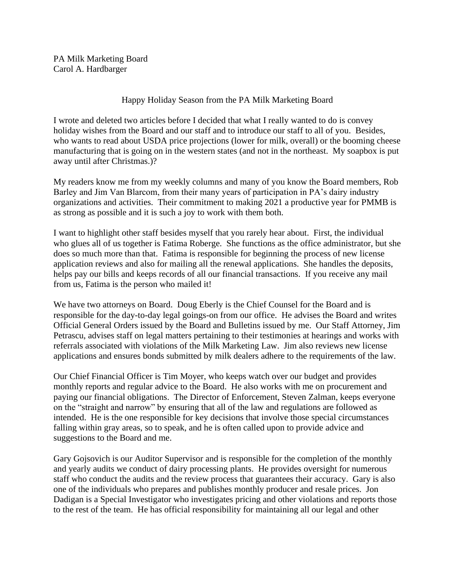PA Milk Marketing Board Carol A. Hardbarger

## Happy Holiday Season from the PA Milk Marketing Board

I wrote and deleted two articles before I decided that what I really wanted to do is convey holiday wishes from the Board and our staff and to introduce our staff to all of you. Besides, who wants to read about USDA price projections (lower for milk, overall) or the booming cheese manufacturing that is going on in the western states (and not in the northeast. My soapbox is put away until after Christmas.)?

My readers know me from my weekly columns and many of you know the Board members, Rob Barley and Jim Van Blarcom, from their many years of participation in PA's dairy industry organizations and activities. Their commitment to making 2021 a productive year for PMMB is as strong as possible and it is such a joy to work with them both.

I want to highlight other staff besides myself that you rarely hear about. First, the individual who glues all of us together is Fatima Roberge. She functions as the office administrator, but she does so much more than that. Fatima is responsible for beginning the process of new license application reviews and also for mailing all the renewal applications. She handles the deposits, helps pay our bills and keeps records of all our financial transactions. If you receive any mail from us, Fatima is the person who mailed it!

We have two attorneys on Board. Doug Eberly is the Chief Counsel for the Board and is responsible for the day-to-day legal goings-on from our office. He advises the Board and writes Official General Orders issued by the Board and Bulletins issued by me. Our Staff Attorney, Jim Petrascu, advises staff on legal matters pertaining to their testimonies at hearings and works with referrals associated with violations of the Milk Marketing Law. Jim also reviews new license applications and ensures bonds submitted by milk dealers adhere to the requirements of the law.

Our Chief Financial Officer is Tim Moyer, who keeps watch over our budget and provides monthly reports and regular advice to the Board. He also works with me on procurement and paying our financial obligations. The Director of Enforcement, Steven Zalman, keeps everyone on the "straight and narrow" by ensuring that all of the law and regulations are followed as intended. He is the one responsible for key decisions that involve those special circumstances falling within gray areas, so to speak, and he is often called upon to provide advice and suggestions to the Board and me.

Gary Gojsovich is our Auditor Supervisor and is responsible for the completion of the monthly and yearly audits we conduct of dairy processing plants. He provides oversight for numerous staff who conduct the audits and the review process that guarantees their accuracy. Gary is also one of the individuals who prepares and publishes monthly producer and resale prices. Jon Dadigan is a Special Investigator who investigates pricing and other violations and reports those to the rest of the team. He has official responsibility for maintaining all our legal and other